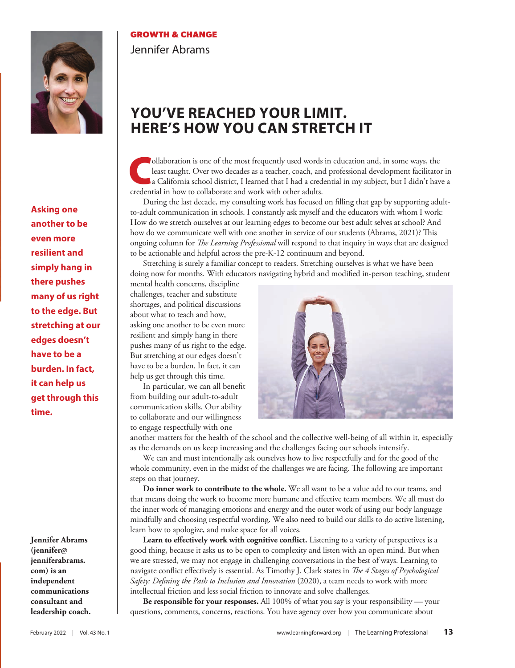

**GROWTH & CHANGE** Jennifer Abrams

## **YOU'VE REACHED YOUR LIMIT. HERE'S HOW YOU CAN STRETCH IT**

Collaboration is one of the most frequently used words in education and, in some ways, the least taught. Over two decades as a teacher, coach, and professional development facilitator in a California school district, I lea least taught. Over two decades as a teacher, coach, and professional development facilitator in credential in how to collaborate and work with other adults.

During the last decade, my consulting work has focused on filling that gap by supporting adultto-adult communication in schools. I constantly ask myself and the educators with whom I work: How do we stretch ourselves at our learning edges to become our best adult selves at school? And how do we communicate well with one another in service of our students (Abrams, 2021)? This ongoing column for *The Learning Professional* will respond to that inquiry in ways that are designed to be actionable and helpful across the pre-K-12 continuum and beyond.

Stretching is surely a familiar concept to readers. Stretching ourselves is what we have been doing now for months. With educators navigating hybrid and modified in-person teaching, student

mental health concerns, discipline challenges, teacher and substitute shortages, and political discussions about what to teach and how, asking one another to be even more resilient and simply hang in there pushes many of us right to the edge. But stretching at our edges doesn't have to be a burden. In fact, it can help us get through this time.

In particular, we can all benefit from building our adult-to-adult communication skills. Our ability to collaborate and our willingness to engage respectfully with one



another matters for the health of the school and the collective well-being of all within it, especially as the demands on us keep increasing and the challenges facing our schools intensify.

We can and must intentionally ask ourselves how to live respectfully and for the good of the whole community, even in the midst of the challenges we are facing. The following are important steps on that journey.

**Do inner work to contribute to the whole.** We all want to be a value add to our teams, and that means doing the work to become more humane and effective team members. We all must do the inner work of managing emotions and energy and the outer work of using our body language mindfully and choosing respectful wording. We also need to build our skills to do active listening, learn how to apologize, and make space for all voices.

**Learn to effectively work with cognitive conflict.** Listening to a variety of perspectives is a good thing, because it asks us to be open to complexity and listen with an open mind. But when we are stressed, we may not engage in challenging conversations in the best of ways. Learning to navigate conflict effectively is essential. As Timothy J. Clark states in *The 4 Stages of Psychological Safety: Defining the Path to Inclusion and Innovation* (2020), a team needs to work with more intellectual friction and less social friction to innovate and solve challenges.

**Be responsible for your responses.** All 100% of what you say is your responsibility — your questions, comments, concerns, reactions. You have agency over how you communicate about

**Asking one another to be even more resilient and simply hang in there pushes many of us right to the edge. But stretching at our edges doesn't have to be a burden. In fact, it can help us get through this time.** 

**Jennifer Abrams (jennifer@ jenniferabrams. com) is an independent communications consultant and leadership coach.**